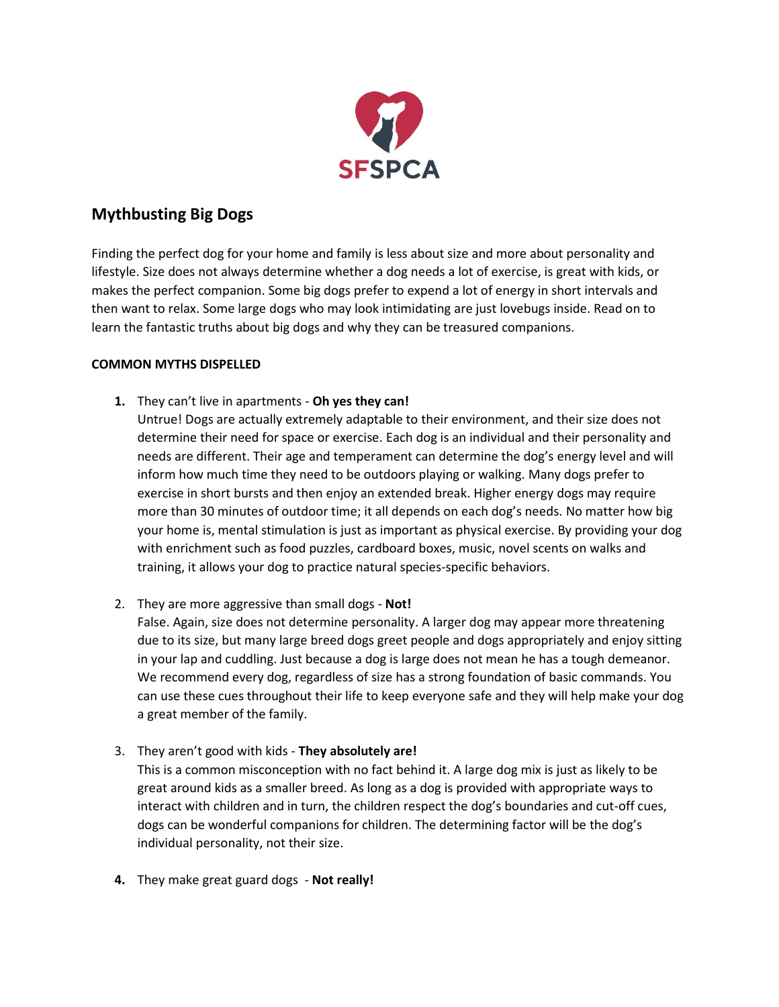

## **Mythbusting Big Dogs**

Finding the perfect dog for your home and family is less about size and more about personality and lifestyle. Size does not always determine whether a dog needs a lot of exercise, is great with kids, or makes the perfect companion. Some big dogs prefer to expend a lot of energy in short intervals and then want to relax. Some large dogs who may look intimidating are just lovebugs inside. Read on to learn the fantastic truths about big dogs and why they can be treasured companions.

## **COMMON MYTHS DISPELLED**

**1.** They can't live in apartments - **Oh yes they can!**

Untrue! Dogs are actually extremely adaptable to their environment, and their size does not determine their need for space or exercise. Each dog is an individual and their personality and needs are different. Their age and temperament can determine the dog's energy level and will inform how much time they need to be outdoors playing or walking. Many dogs prefer to exercise in short bursts and then enjoy an extended break. Higher energy dogs may require more than 30 minutes of outdoor time; it all depends on each dog's needs. No matter how big your home is, mental stimulation is just as important as physical exercise. By providing your dog with enrichment such as food puzzles, cardboard boxes, music, novel scents on walks and training, it allows your dog to practice natural species-specific behaviors.

2. They are more aggressive than small dogs - **Not!**

False. Again, size does not determine personality. A larger dog may appear more threatening due to its size, but many large breed dogs greet people and dogs appropriately and enjoy sitting in your lap and cuddling. Just because a dog is large does not mean he has a tough demeanor. We recommend every dog, regardless of size has a strong foundation of basic commands. You can use these cues throughout their life to keep everyone safe and they will help make your dog a great member of the family.

3. They aren't good with kids - **They absolutely are!**

This is a common misconception with no fact behind it. A large dog mix is just as likely to be great around kids as a smaller breed. As long as a dog is provided with appropriate ways to interact with children and in turn, the children respect the dog's boundaries and cut-off cues, dogs can be wonderful companions for children. The determining factor will be the dog's individual personality, not their size.

**4.** They make great guard dogs - **Not really!**